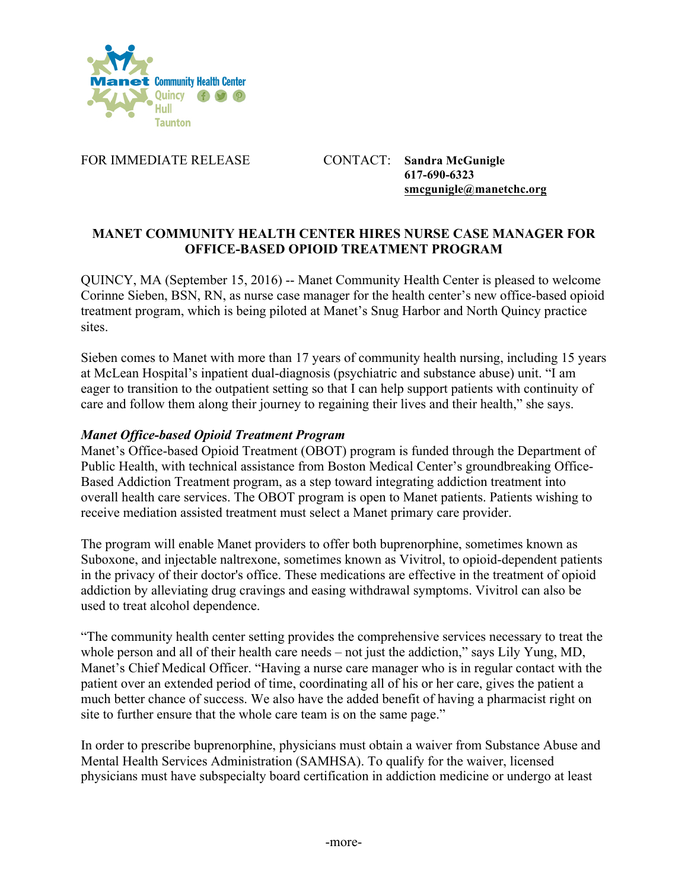

FOR IMMEDIATE RELEASE CONTACT: **Sandra McGunigle**

**617-690-6323 smcgunigle@manetchc.org**

# **MANET COMMUNITY HEALTH CENTER HIRES NURSE CASE MANAGER FOR OFFICE-BASED OPIOID TREATMENT PROGRAM**

QUINCY, MA (September 15, 2016) -- Manet Community Health Center is pleased to welcome Corinne Sieben, BSN, RN, as nurse case manager for the health center's new office-based opioid treatment program, which is being piloted at Manet's Snug Harbor and North Quincy practice sites.

Sieben comes to Manet with more than 17 years of community health nursing, including 15 years at McLean Hospital's inpatient dual-diagnosis (psychiatric and substance abuse) unit. "I am eager to transition to the outpatient setting so that I can help support patients with continuity of care and follow them along their journey to regaining their lives and their health," she says.

#### *Manet Office-based Opioid Treatment Program*

Manet's Office-based Opioid Treatment (OBOT) program is funded through the Department of Public Health, with technical assistance from Boston Medical Center's groundbreaking Office-Based Addiction Treatment program, as a step toward integrating addiction treatment into overall health care services. The OBOT program is open to Manet patients. Patients wishing to receive mediation assisted treatment must select a Manet primary care provider.

The program will enable Manet providers to offer both buprenorphine, sometimes known as Suboxone, and injectable naltrexone, sometimes known as Vivitrol, to opioid-dependent patients in the privacy of their doctor's office. These medications are effective in the treatment of opioid addiction by alleviating drug cravings and easing withdrawal symptoms. Vivitrol can also be used to treat alcohol dependence.

"The community health center setting provides the comprehensive services necessary to treat the whole person and all of their health care needs – not just the addiction," says Lily Yung, MD, Manet's Chief Medical Officer. "Having a nurse care manager who is in regular contact with the patient over an extended period of time, coordinating all of his or her care, gives the patient a much better chance of success. We also have the added benefit of having a pharmacist right on site to further ensure that the whole care team is on the same page."

In order to prescribe buprenorphine, physicians must obtain a waiver from Substance Abuse and Mental Health Services Administration (SAMHSA). To qualify for the waiver, licensed physicians must have subspecialty board certification in addiction medicine or undergo at least